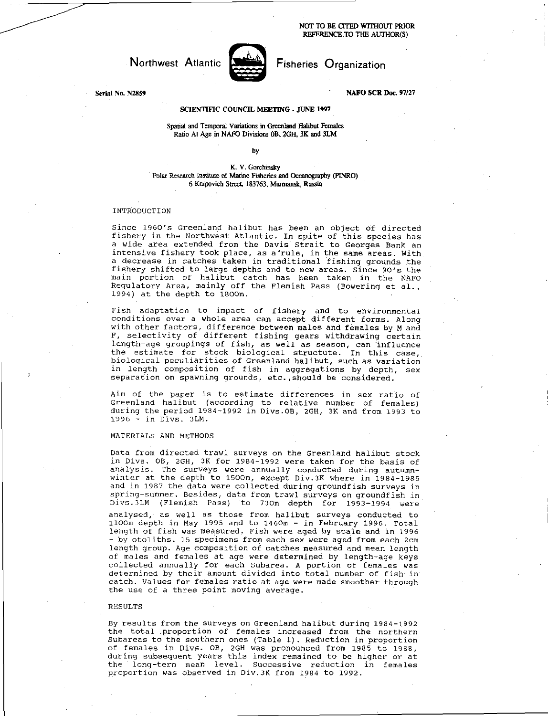NOT TO BE CITED WITHOUT PRIOR REFERENCE. TO THE AUTHOR(S)



Northwest Atlantic Fisheries Organization

Serial No. N2859 NAFO SCR Doc. 97/27

# SCIENTIFIC COUNCIL MEETING - JUNE 1997

Spatial and Temporal Variations in Greenland Halibut Females Ratio At Age in NAFO Divisions OB, 2GH, 3K and 3LM

by

K. V. Gorchinsky Polar Research Institute of Marine Fisheries and Oceanography (PINRO) 6 Knipovich Street, 183763, Murmansk, Russia

## INTRODUCTION

Since 1960's Greenland halibut has been an object of directed fishery in the Northwest Atlantic. In spite of this species has a wide area extended from the Davis Strait to Georges Bank an intensive fishery took place, as a'rule, in the same areas. With a decrease in catches taken in traditional fishing grounds the fishery shifted to large depths and to new areas. Since 90's the main portion of halibut catch has been taken in the NAFO Regulatory Area, mainly off the Flemish Pass (Bowering et al., 1994) at the depth to 1800m.

Fish adaptation to impact of fishery and to environmental conditions over a whole area can accept different forms. Along with other factors, difference between males and females by M and F, selectivity of different fishing gears withdrawing certain length-age groupings of fish, as well as season, can influence the estimate for stock biological structute. In this case, biological peculiarities of Greenland halibut, such as variation in length composition of fish in aggregations by depth, sex separation on spawning grounds, etc., should be considered.

Aim of the paper is to estimate differences in sex ratio of Greenland halibut (according to relative number of females) during the period 1984-1992 in Divs.OB, 2GH, 3K and from 1993 to 1996 - in Divs. 3LM.

### MATERIALS AND METHODS

Data from directed trawl surveys on the Greenland halibut stock in Divs. OB, 2GH, 3K for 1984-1992 were taken for the basis of analysis. The surveys were annually conducted during autumnwinter at the depth to 1500m, except Div.3K where in 1984-1985 and in 1987 the data were collected during groundfish surveys in spring-summer. Besides, data from trawl surveys on groundfish in Divs.3LM (Flemish Pass) to 730m depth for 1993-1994 were analysed, as well as those from halibut surveys conducted to 1100m depth in May 1995 and to 1460m - in February 1996. Total length of fish was measured. Fish were aged by scale and in 1996 - by otoliths. 15 specimens from each sex were aged from each 2cm length group. Age composition of catches measured and mean length of males and females at age were determined by length-age keys collected annually for each Subarea. A portion of females was determined by their amount divided into total number of fish in catch. Values for females ratio at age were made smoother through the use of a three point moving average.

#### RESULTS

By results from the surveys on Greenland halibut during 1984-1992 the total proportion of females increased from the northern Subareas to the southern ones (Table 1). Reduction in proportion of females in DivS. OB, 2GH was pronounced from 1985 to 1988, during subsequent years this index remained to be higher or at the long-term mean level. Successive reduction in females proportion was observed in Div.3K from 1984 to 1992.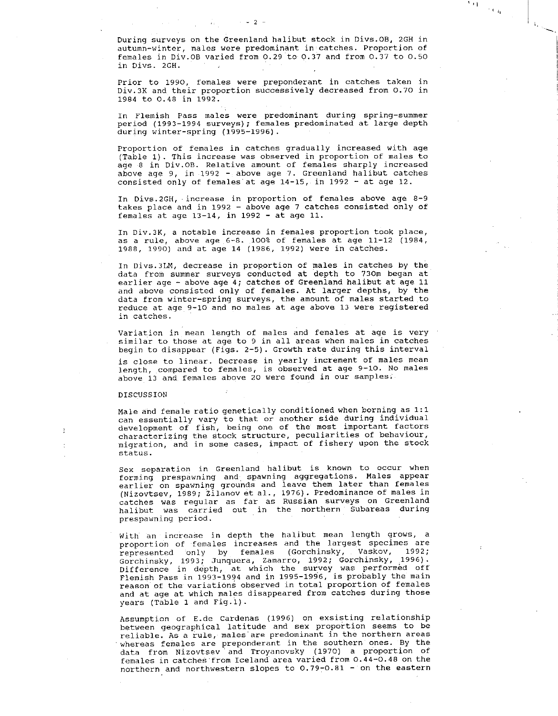During surveys on the Greenland halibut stock in Divs.OB, 2GH in autumn-winter, males were predominant in catches. Proportion of females in Div.OB varied from 0.29 to 0.37 and from 0.37 to 0.50 in Divs. 2GH.

大门<br>一个人们

 $- 2 -$ 

Prior to 1990, females were preponderant in catches taken in Div.3K and their proportion successively decreased from 0.70 in 1984 to 0.48 in 1992.

In Flemish Pass males were predominant during spring-summer period (1993-1994 surveys); females predominated at large depth during winter-spring (1995-1996).

Proportion of females in catches gradually increased with age (Table 1). This increase was observed in proportion of males to age 8 in Div.OB. Relative amount of females sharply increased above age 9, in 1992  $-$  above age 7. Greenland halibut catches consisted only of females'at age 14-15, in 1992 - at age 12.

In Divs.2GH, increase in proportion of females above age 8-9 takes place and in 1992 - above age 7 catches consisted only of females at age 13-14, in 1992 - at age 11.

In Div.3K, a notable increase in females proportion took place, as a rule, above age 6-8. 100% of females at age 11-12 (1984, 1988, 1990) and at age 14 (1986, 1992) were in catches.

In Divs.3LM, decrease in proportion of males in catches by the data from summer surveys conducted at depth to 730m began at earlier age - above age 4; catches of Greenland halibut at age 11 and above consisted only of females. At larger depths, by the data from winter-spring surveys, the amount of males started to reduce at age 9-10 and no males at age above 13 were registered in catches.

Variation in mean length of males and females at age is very similar to those at age to 9 in all areas when males in catches begin to disappear (Figs. 2-5). Growth rate during this interval is close to linear. Decrease in yearly increment of males mean length, compared to females, is observed at age 9-10. No males above 13 and females above 20 were found in our samples.

# DISCUSSION

Male and female ratio genetically conditioned when borning as 1:1 can essentially vary to that or another side during individual development of fish, being one of the most important factors characterizing the stock structure, peculiarities of behaviour, migration, and in some cases, impact of fishery upon the stock status.

Sex separation in Greenland halibut is known to occur when forming prespawning and, spawning aggregations. Males appear earlier on spawning grounds and leave them later than females (Nizovtsev, 1989; Zilanov et al., 1976). Predominance of males in catches was regular as far as Russian surveys on Greenland halibut was carried out in the northern Subareas during prespawning period.

With an increase in depth the halibut mean length grows, a proportion of females increases and the largest specimes are represented only by females (Gorchinsky, Vaskov, 1992; Gorchinsky, 1993; Junquera, Zamarro, 1992; Gorchinsky, 1996). Difference in depth, at which the survey was performed off Flemish Pass in 1993-1994 and in 1995-1996, is probably the main reason of the variations observed in total proportion of females and at age at which males disappeared from catches during those years (Table 1 and Fig.l).

Assumption of E.de Cardenas (1996) on exsisting relationship between geographical latitude and sex proportion seems to be reliable. As a rule, males are predominant in the northern areas whereas females are preponderant in the southern ones. By the data from Nizovtsev and Troyanovsky (1970) a proportion of females in catches from Iceland area varied from 0.44-0.48 on the northern and northwestern slopes to 0.79-0.81 - on the eastern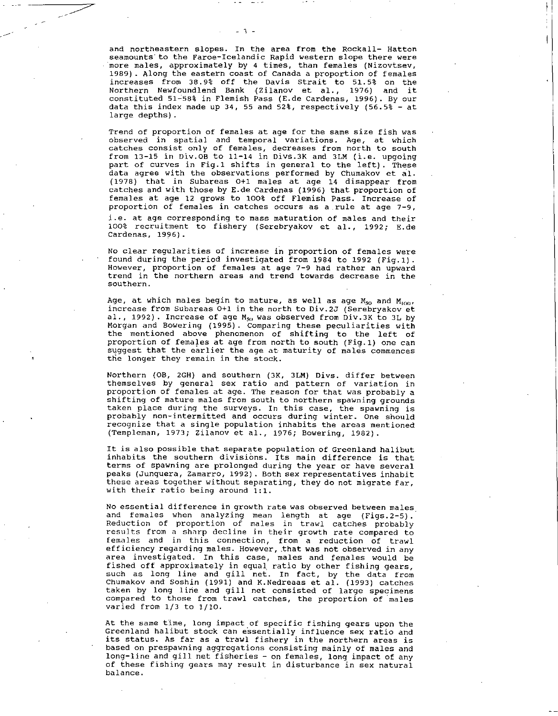and northeastern slopes. In the area from the Rockall- Hatton seamounts to the Faroe-Icelandic Rapid western slope there were more males, approximately by 4 times, than females (Nizovtsev, 1989). Along the eastern coast of Canada a proportion of females increases from 38.9% off the Davis Strait to 51.5% on the Northern Newfoundlend Bank (Zilanov et al., 1976) and it constituted 51-58% in Flemish Pass (E.de Cardenas, 1996). By our data this index made up 34, 55 and 52%, respectively (56.5% - at large depths).

Trend of proportion of females at age for the same size fish was observed in spatial and temporal variations. Age, at which catches consist only of females, decreases from north to south from 13-15 in Div.OB to 11-14 in Divs.3K and 3LM (i.e. upgoing part of curves in Fig.l shifts in general to the left). These data agree with the observations performed by Chumakov et al. (1978) that in Subareas 0+1 males at age 14 disappear from catches and with those by E.de Cardenas (1996) that proportion of females at age 12 grows to 100% off Flemish Pass. Increase of proportion of females in catches occurs as a rule at age 7-9, i.e. at age corresponding to mass maturation of males and their 100% recruitment to fishery (Serebryakov et al., 1992; E.de

No clear regularities of increase in proportion of females were found during the period investigated from 1984 to 1992 (Fig.l). However, proportion of females at age 7-9 had rather an upward trend in the northern areas and trend towards decrease in the southern.

Cardenas, 1996).

Age, at which males begin to mature, as well as age  $M_{50}$  and  $M_{100}$ , increase from Subareas 0+1 in the north to Div.2J (Serebryakov et al., 1992). Increase of age  $M_{50}$  was observed from Div.3K to 3L by Morgan and Bowering (1995). Comparing these peculiarities with the mentioned above phenomenon of shifting to the left of proportion of females at age from north to south (Fig.l) one can suggest that the earlier the age at maturity of males commences the longer they remain in the stock.

Northern (0B, 2GH) and southern (3K, 3LM) Divs. differ between themselves by general sex ratio and pattern of variation in proportion of females at age. The reason for that was probably a shifting of mature males from south to northern spawning grounds taken place during the surveys. In this case, the spawning is probably non-intermitted and occurs during winter. One should recognize that a single population inhabits the areas mentioned (Templeman, 1973; Zilanov et al., 1976; Bowering, 1982).

It is also possible that separate population of Greenland halibut inhabits the southern divisions. Its main difference is that terms of spawning are prolonged during the year or have several peaks (Junquera, Zamarro, 1992). Both sex representatives inhabit these areas together without separating, they do not migrate far, with their ratio being around 1:1.

No essential difference in growth rate was observed between males and females when analyzing mean length at age (Figs.2-5). Reduction of proportion of males in trawl catches probably results from a sharp decline in their growth rate compared to females and in this connection, from a reduction of trawl efficiency regarding males. However, that was not observed in any area investigated. In this case, males and females would be fished off approximately in equal ratio by other fishing gears, such as long line and gill net. In fact, by the data from Chumakov and Soshin (1991) and K.Nedreaas et al. (1993) catches taken by long line and gill net consisted of large specimens compared to those from trawl catches, the proportion of males varied from 1/3 to 1/10.

At the same time, long impact of specific fishing gears upon the Greenland halibut stock can essentially influence sex ratio and its status. As far as a trawl fishery in the northern areas is based on prespawning aggregations consisting mainly of males and long-line and gill net fisheries - on females, long impact of any of these fishing gears may result in disturbance in sex natural balance.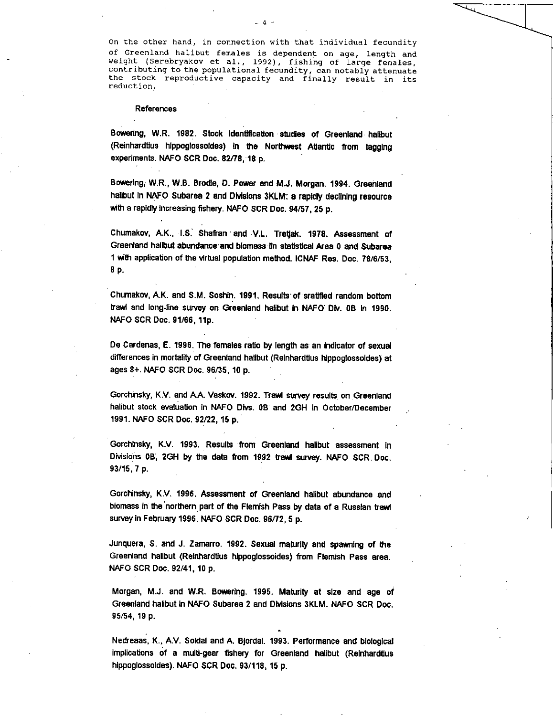On the other hand, in connection with that individual fecundity of Greenland halibut females is dependent on age, length and weight (Serebryakov et al., 1992), fishing of large females, contributing to the populational fecundity, can notably attenuate the stock reproductive capacity and finally result in its reduction.

### References

Bowering, W.R. 1982. Stock identification studies of Greenland halibut (Reinhardtius hippoglossoides) in the Northwest Atlantic from tagging experiments. NAFO SCR Doc. 82/78, 18 p.

Bowering, W.R., W.B. Brodie, D. Power and M.J. Morgan. 1994. Greenland halibut in NAFO Subarea 2 and Divisions 3KLM: a rapidly declining resource with a rapidly increasing fishery. NAFO SCR Doc. 94/57, 25 p.

Chumakov, A.K., I.S. Shafran and V.L. Tretjak. 1978. Assessment of Greenland halibut abundance and biomass In statistical Area 0 and Subarea 1 with application of the virtual population method. ICNAF Res. Doc. 78/6/53, 8 p.

Chumakov, A.K. and S.M. Soshin. 1991. Results of sratified random bottom trawl and long-line survey on Greenland halibut in NAFO Div. 0B in 1990. NAFO SCR Doc. 91/66, 11p.

De Cardenas, E. 1996. The females ratio by length as an Indicator of sexual differences in mortality of Greenland halibut (Reinhardtius hippoglossoides) at ages 8+. NAFO SCR Doc. 96/35, 10 p. •

Gorchinsky, K.V. and AA. Vaskov. 1992. Trawl survey results on Greenland halibut stock evaluation in NAFO Divs. 0B and 2GH in October/December 1991. NAFO SCR Doc. 92/22, 15 **p.** 

Gorchinsky, K.V. 1993. Results from Greenland halibut assessment In Divisions OB, 2GH by the data from 1992 bawl survey. NAFO SCR. Doc. 93/15, 7 p.

Gorchinsky, K.V. 1996. Assessment of Greenland halibut abundance and biomass in the northern part of the Flemish Pass by data of a Russian trawl survey in February 1996. NAFO SCR Doc. 96/72, 5 p.

Junquera, S. and J. Zamarro. 1992. Sexual maturity and spawning of the Greenland halibut (Reinhardtius hippoglossoides) from Flemish Pass area. NAFO SCR Doc. 92/41, 10 p.

Morgan, M.J. and W.R. Bowering. 1995. Maturity at size and age of Greenland halibut In NAFO Subarea 2 and Divisions 3KLM. NAFO SCR Doc. 95/54, 19 p.

Nedreaas, K., A.V. Soldal and A. Bjordal. 1993. Performance and biological implications of a multi-gear fishery for Greenland halibut (Reinhardtius hippoglossoldes). NAFO SCR Doc. 93/118, 15 p.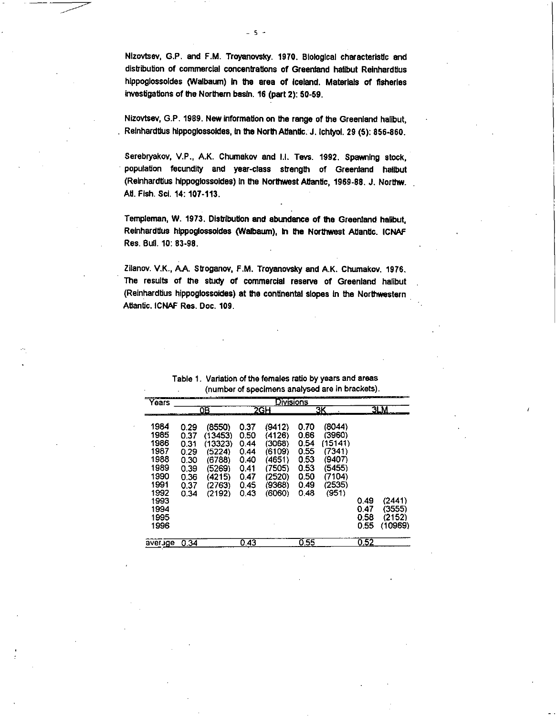Nizovtsev, G.P. and F.M. Troyanovsky. 1970. Biological characteristic and distribution of commercial concentrations of Greenland halibut Relnhardtlus hippoglossoldes (Walbaum) In the area of Iceland. Materials of fisheries investigations of the Northern basin. 16 (part 2): 50-59.

Nizovtsev, G.P. 1989. New information on the range of the Greenland halibut, Reinhardtius hippoglossoldes, in the North Atlantic. J. Ichtyol. 29 (5): 856-860.

Serebryakov, V.P., A.K. Chumakov and I.I. Tevs. 1992. Spawning stock, population fecundity and year-class strength of Greenland halibut (Relnhardtlus hippoglossoldes) in the Northwest Atlantic, 1969-88. J. Northw. Atl. Fish. Sci. 14: 107-113.

Templeman, W. 1973. Distribution and abundance of the Greenland halibut, Reinhardtius hippoglossoldes (Walbaum), in the Northwest Atlantic. ICNAF Res. Bull. 10: 83-98.

Zilanov. V.K., AA. Stroganov, F.M. Troyanovsky and A.K. Chumakov. 1976. The results of the study of commercial reserve of Greenland halibut (Reinhardtius hippoglossoldes) at the continental slopes In the Northwestern Atlantic. ICNAF Res. Doc. 109.

| Years                                                                                                | Divisions                                                            |                                                                                          |                                                                      |                                                                                        |                                                                      |                                                                                        |                              |                                       |
|------------------------------------------------------------------------------------------------------|----------------------------------------------------------------------|------------------------------------------------------------------------------------------|----------------------------------------------------------------------|----------------------------------------------------------------------------------------|----------------------------------------------------------------------|----------------------------------------------------------------------------------------|------------------------------|---------------------------------------|
|                                                                                                      | 0В                                                                   |                                                                                          | 2GH                                                                  |                                                                                        | ЗΚ                                                                   |                                                                                        | 3LM                          |                                       |
| 1984<br>1985<br>1986<br>1987<br>1988<br>1989<br>1990<br>1991<br>1992<br>1993<br>1994<br>1995<br>1996 | 0.29<br>0.37<br>0.31<br>0.29<br>0.30<br>0.39<br>0.36<br>0.37<br>0.34 | (8550)<br>(13453)<br>(13323)<br>(5224)<br>(6788)<br>(5269)<br>(4215)<br>(2763)<br>(2192) | 0.37<br>0.50<br>0.44<br>0.44<br>0.40<br>0.41<br>0.47<br>0.45<br>0.43 | (9412)<br>(4126)<br>(3068)<br>(6109)<br>(4651)<br>(7505)<br>(2520)<br>(9368)<br>(6060) | 0.70<br>0.66<br>0.54<br>0.55<br>0.53<br>0.53<br>0.50<br>0.49<br>0.48 | (8044)<br>(3960)<br>(15141)<br>(7341)<br>(9407)<br>(5455)<br>(7104)<br>(2535)<br>(951) | 0 49<br>0.47<br>0.58<br>0.55 | (2441)<br>(3555)<br>(2152)<br>(10969) |
| average                                                                                              | 0.34                                                                 |                                                                                          | 0.43                                                                 |                                                                                        | 0.55                                                                 |                                                                                        | 0.52                         |                                       |

Table 1. Variation of the females ratio by years and areas (number of specimens analysed are in brackets).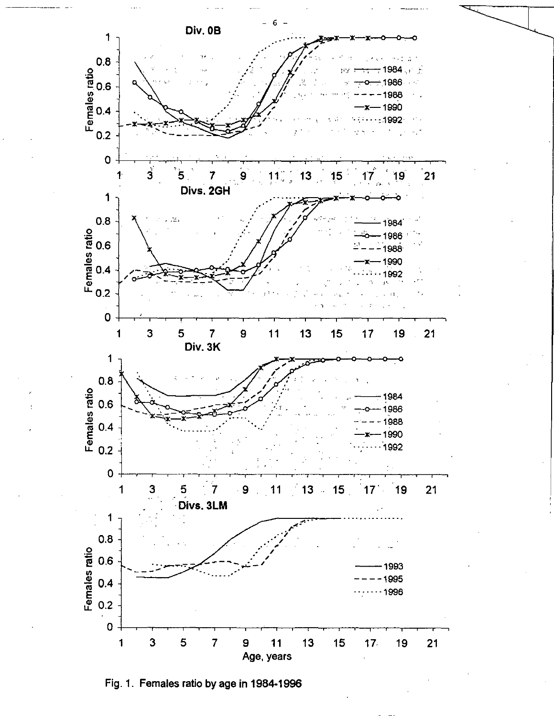

Fig. 1. Females ratio by age in 1984-1996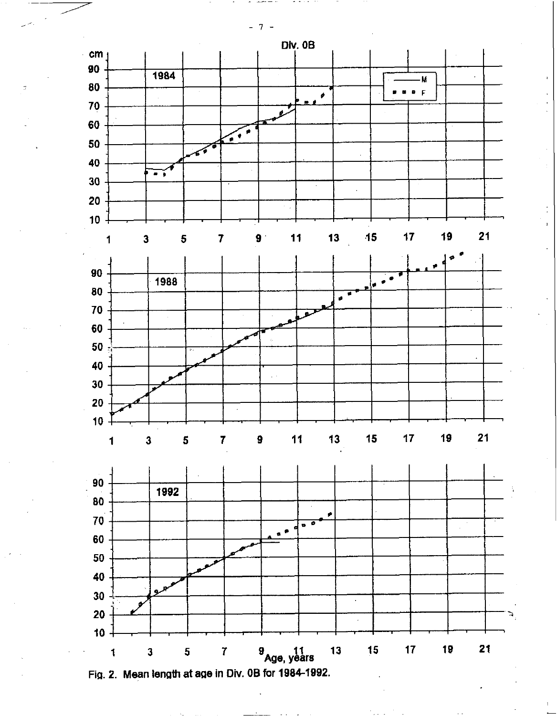

Fig. 2. Mean length at age in Div. OB for 1984-1992.

 $7 \overline{a}$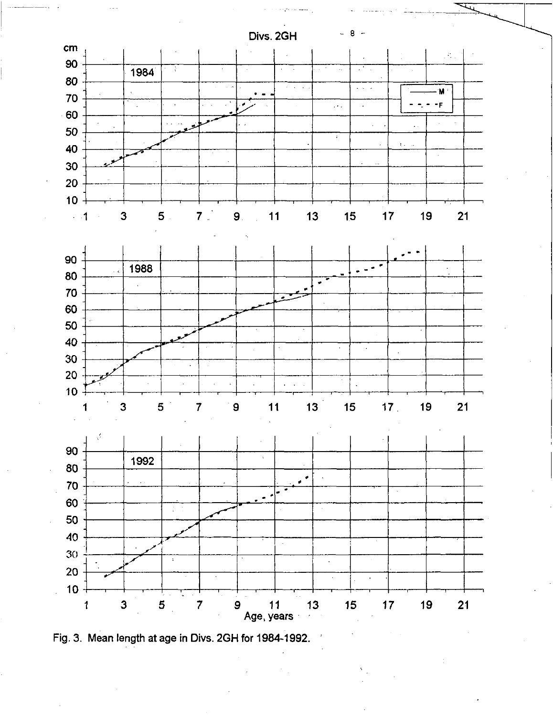Divs. 2GH





Fig. 3. Mean length at age in Divs. 2GH for 1984-1992.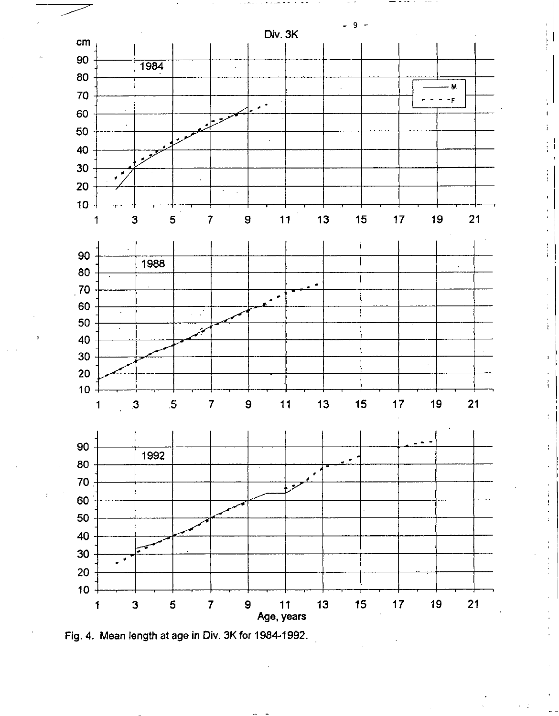